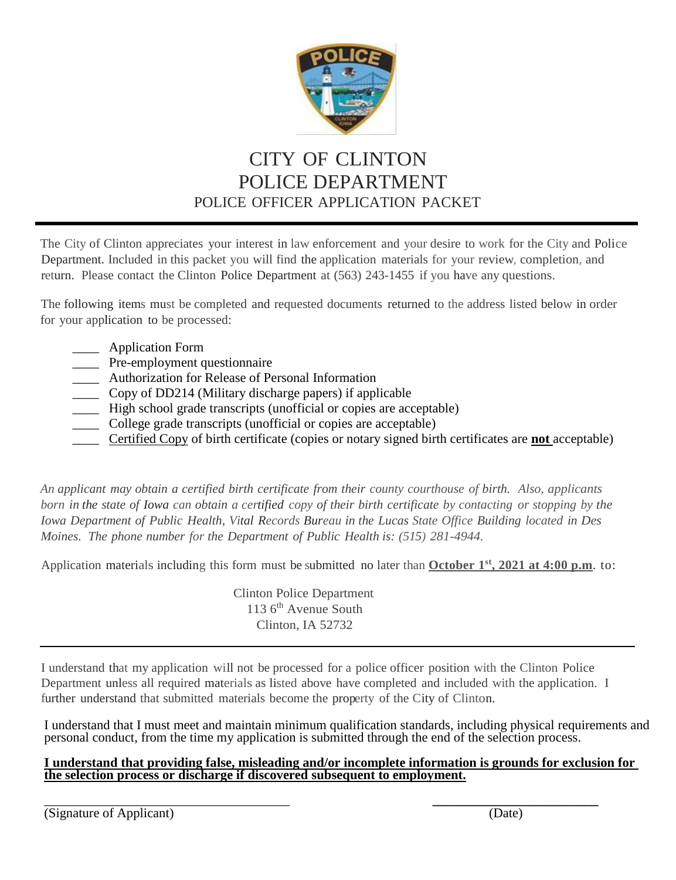

# CITY OF CLINTON POLICE DEPARTMENT POLICE OFFICER APPLICATION PACKET

The City of Clinton appreciates your interest in law enforcement and your desire to work for the City and Police Department. Included in this packet you will find the application materials for your review, completion, and return. Please contact the Clinton Police Department at (563) 243-1455 if you have any questions.

The following items must be completed and requested documents returned to the address listed below in order for your application to be processed:

- \_\_\_\_ Application Form
- Pre-employment questionnaire
- \_\_\_\_ Authorization for Release of Personal Information
- \_\_\_\_ Copy of DD214 (Military discharge papers) if applicable
- \_\_\_\_ High school grade transcripts (unofficial or copies are acceptable)
- \_\_\_\_ College grade transcripts (unofficial or copies are acceptable)
- \_\_\_\_ Certified Copy of birth certificate (copies or notary signed birth certificates are **not** acceptable)

*An applicant may obtain a certified birth certificate from their county courthouse of birth. Also, applicants*  born in the state of Iowa can obtain a certified copy of their birth certificate by contacting or stopping by the *Iowa Department of Public Health, Vital Records Bureau in the Lucas State Office Building located in Des Moines. The phone number for the Department of Public Health is: (515) 281-4944.*

Application materials including this form must be submitted no later than **October 1 st , 2021 at 4:00 p.m**. to:

Clinton Police Department 113 6<sup>th</sup> Avenue South Clinton, IA 52732

I understand that my application will not be processed for a police officer position with the Clinton Police Department unless all required materials as listed above have completed and included with the application. I further understand that submitted materials become the property of the City of Clinton.

I understand that I must meet and maintain minimum qualification standards, including physical requirements and personal conduct, from the time my application is submitted through the end of the selection process.

#### **I understand that providing false, misleading and/or incomplete information is grounds for exclusion for the selection process or discharge if discovered subsequent to employment.**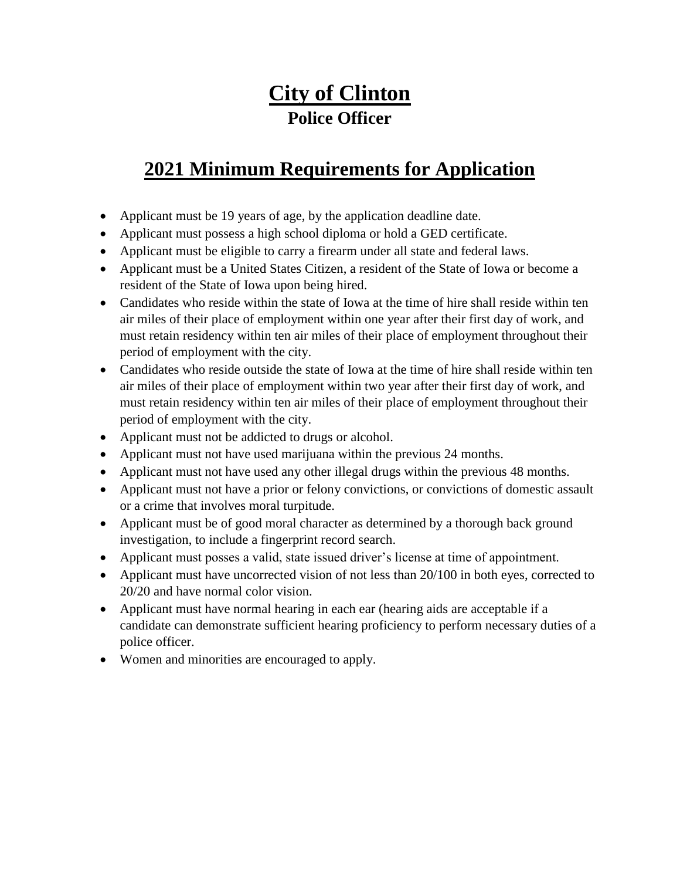# **City of Clinton Police Officer**

# **2021 Minimum Requirements for Application**

- Applicant must be 19 years of age, by the application deadline date.
- Applicant must possess a high school diploma or hold a GED certificate.
- Applicant must be eligible to carry a firearm under all state and federal laws.
- Applicant must be a United States Citizen, a resident of the State of Iowa or become a resident of the State of Iowa upon being hired.
- Candidates who reside within the state of Iowa at the time of hire shall reside within ten air miles of their place of employment within one year after their first day of work, and must retain residency within ten air miles of their place of employment throughout their period of employment with the city.
- Candidates who reside outside the state of Iowa at the time of hire shall reside within ten air miles of their place of employment within two year after their first day of work, and must retain residency within ten air miles of their place of employment throughout their period of employment with the city.
- Applicant must not be addicted to drugs or alcohol.
- Applicant must not have used marijuana within the previous 24 months.
- Applicant must not have used any other illegal drugs within the previous 48 months.
- Applicant must not have a prior or felony convictions, or convictions of domestic assault or a crime that involves moral turpitude.
- Applicant must be of good moral character as determined by a thorough back ground investigation, to include a fingerprint record search.
- Applicant must posses a valid, state issued driver's license at time of appointment.
- Applicant must have uncorrected vision of not less than 20/100 in both eyes, corrected to 20/20 and have normal color vision.
- Applicant must have normal hearing in each ear (hearing aids are acceptable if a candidate can demonstrate sufficient hearing proficiency to perform necessary duties of a police officer.
- Women and minorities are encouraged to apply.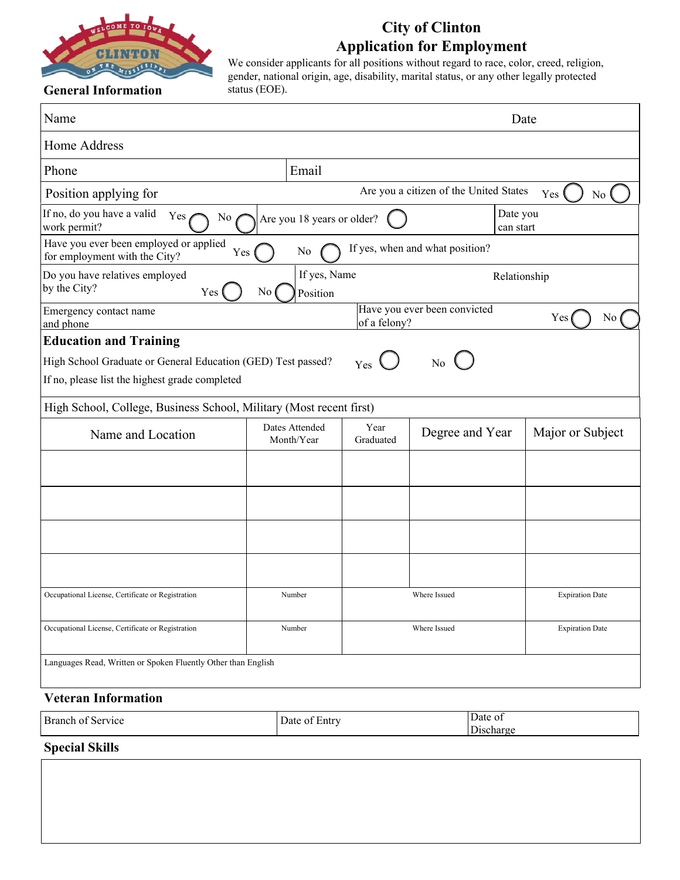

## **City of Clinton Application for Employment**

We consider applicants for all positions without regard to race, color, creed, religion, gender, national origin, age, disability, marital status, or any other legally protected status (EOE).

## **General Information**

| Name                                                                                                                                                                                                                   |                                            |                   |                                        | Date                   |
|------------------------------------------------------------------------------------------------------------------------------------------------------------------------------------------------------------------------|--------------------------------------------|-------------------|----------------------------------------|------------------------|
| Home Address                                                                                                                                                                                                           |                                            |                   |                                        |                        |
| Phone                                                                                                                                                                                                                  | Email                                      |                   |                                        |                        |
| Position applying for                                                                                                                                                                                                  |                                            |                   | Are you a citizen of the United States | Yes<br>No              |
| If no, do you have a valid<br>Yes $\ell$<br>No<br>work permit?                                                                                                                                                         | Are you 18 years or older?                 |                   | Date you<br>can start                  |                        |
| Have you ever been employed or applied<br>Yes (<br>for employment with the City?                                                                                                                                       | No                                         |                   | If yes, when and what position?        |                        |
| Do you have relatives employed<br>by the City?<br>Yes (                                                                                                                                                                | If yes, Name<br>N <sub>o</sub><br>Position |                   |                                        | Relationship           |
| Emergency contact name<br>and phone                                                                                                                                                                                    |                                            | of a felony?      | Have you ever been convicted           | Yes<br>N <sub>o</sub>  |
| <b>Education and Training</b><br>High School Graduate or General Education (GED) Test passed?<br>If no, please list the highest grade completed<br>High School, College, Business School, Military (Most recent first) |                                            | Yes               | $\overline{N_0}$                       |                        |
| Name and Location                                                                                                                                                                                                      | Dates Attended<br>Month/Year               | Year<br>Graduated | Degree and Year                        | Major or Subject       |
|                                                                                                                                                                                                                        |                                            |                   |                                        |                        |
|                                                                                                                                                                                                                        |                                            |                   |                                        |                        |
|                                                                                                                                                                                                                        |                                            |                   |                                        |                        |
|                                                                                                                                                                                                                        |                                            |                   |                                        |                        |
| Occupational License, Certificate or Registration                                                                                                                                                                      | Number                                     |                   | Where Issued                           | <b>Expiration Date</b> |
| Occupational License, Certificate or Registration                                                                                                                                                                      | Number                                     |                   | Where Issued                           | <b>Expiration Date</b> |
| Languages Read, Written or Spoken Fluently Other than English                                                                                                                                                          |                                            |                   |                                        |                        |
| <b>Veteran Information</b>                                                                                                                                                                                             |                                            |                   | $\overline{D}$                         |                        |

| Branch of<br>: Service                       | ∗ntrv<br>Jate<br>$\mathbf{L}$ llu $\mathbf{V}$ | Jate of    |
|----------------------------------------------|------------------------------------------------|------------|
|                                              |                                                | -<br>лспаг |
| $\sim$ $\sim$<br>$\sim$ $\sim$ $\sim$ $\sim$ |                                                |            |

#### **Special Skills**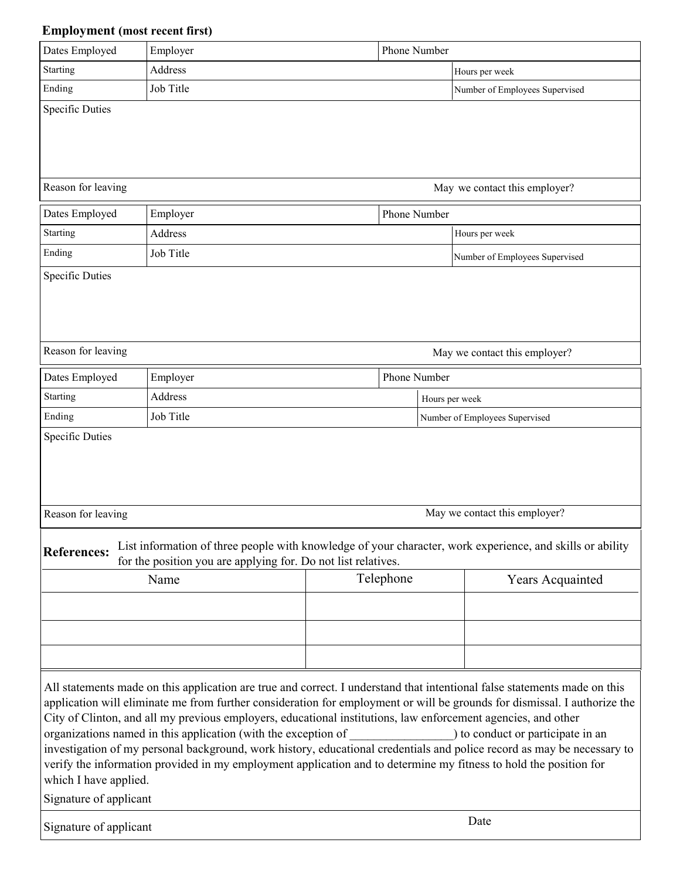## **Employment (most recent first)**

| Dates Employed                                  | Employer                                                                                                                                                                                                                                                                                             | Phone Number |                                                                                                                                                                                                                                                                                                                                                                                                                                |
|-------------------------------------------------|------------------------------------------------------------------------------------------------------------------------------------------------------------------------------------------------------------------------------------------------------------------------------------------------------|--------------|--------------------------------------------------------------------------------------------------------------------------------------------------------------------------------------------------------------------------------------------------------------------------------------------------------------------------------------------------------------------------------------------------------------------------------|
| <b>Starting</b>                                 | Address                                                                                                                                                                                                                                                                                              |              | Hours per week                                                                                                                                                                                                                                                                                                                                                                                                                 |
| Ending                                          | Job Title                                                                                                                                                                                                                                                                                            |              | Number of Employees Supervised                                                                                                                                                                                                                                                                                                                                                                                                 |
| <b>Specific Duties</b>                          |                                                                                                                                                                                                                                                                                                      |              |                                                                                                                                                                                                                                                                                                                                                                                                                                |
| Reason for leaving                              |                                                                                                                                                                                                                                                                                                      |              | May we contact this employer?                                                                                                                                                                                                                                                                                                                                                                                                  |
| Dates Employed                                  | Employer                                                                                                                                                                                                                                                                                             | Phone Number |                                                                                                                                                                                                                                                                                                                                                                                                                                |
| Starting                                        | Address                                                                                                                                                                                                                                                                                              |              | Hours per week                                                                                                                                                                                                                                                                                                                                                                                                                 |
| Ending                                          | Job Title                                                                                                                                                                                                                                                                                            |              | Number of Employees Supervised                                                                                                                                                                                                                                                                                                                                                                                                 |
| <b>Specific Duties</b>                          |                                                                                                                                                                                                                                                                                                      |              |                                                                                                                                                                                                                                                                                                                                                                                                                                |
| Reason for leaving                              |                                                                                                                                                                                                                                                                                                      |              | May we contact this employer?                                                                                                                                                                                                                                                                                                                                                                                                  |
| Dates Employed                                  | Employer                                                                                                                                                                                                                                                                                             | Phone Number |                                                                                                                                                                                                                                                                                                                                                                                                                                |
| Starting                                        | Address                                                                                                                                                                                                                                                                                              |              | Hours per week                                                                                                                                                                                                                                                                                                                                                                                                                 |
| Ending                                          | Job Title                                                                                                                                                                                                                                                                                            |              | Number of Employees Supervised                                                                                                                                                                                                                                                                                                                                                                                                 |
| Reason for leaving                              |                                                                                                                                                                                                                                                                                                      |              | May we contact this employer?                                                                                                                                                                                                                                                                                                                                                                                                  |
| <b>References:</b>                              | for the position you are applying for. Do not list relatives.                                                                                                                                                                                                                                        |              | List information of three people with knowledge of your character, work experience, and skills or ability                                                                                                                                                                                                                                                                                                                      |
|                                                 | Name                                                                                                                                                                                                                                                                                                 | Telephone    | Years Acquainted                                                                                                                                                                                                                                                                                                                                                                                                               |
|                                                 |                                                                                                                                                                                                                                                                                                      |              |                                                                                                                                                                                                                                                                                                                                                                                                                                |
| which I have applied.<br>Signature of applicant | City of Clinton, and all my previous employers, educational institutions, law enforcement agencies, and other<br>organizations named in this application (with the exception of<br>verify the information provided in my employment application and to determine my fitness to hold the position for |              | All statements made on this application are true and correct. I understand that intentional false statements made on this<br>application will eliminate me from further consideration for employment or will be grounds for dismissal. I authorize the<br>) to conduct or participate in an<br>investigation of my personal background, work history, educational credentials and police record as may be necessary to<br>Date |
| Signature of applicant                          |                                                                                                                                                                                                                                                                                                      |              |                                                                                                                                                                                                                                                                                                                                                                                                                                |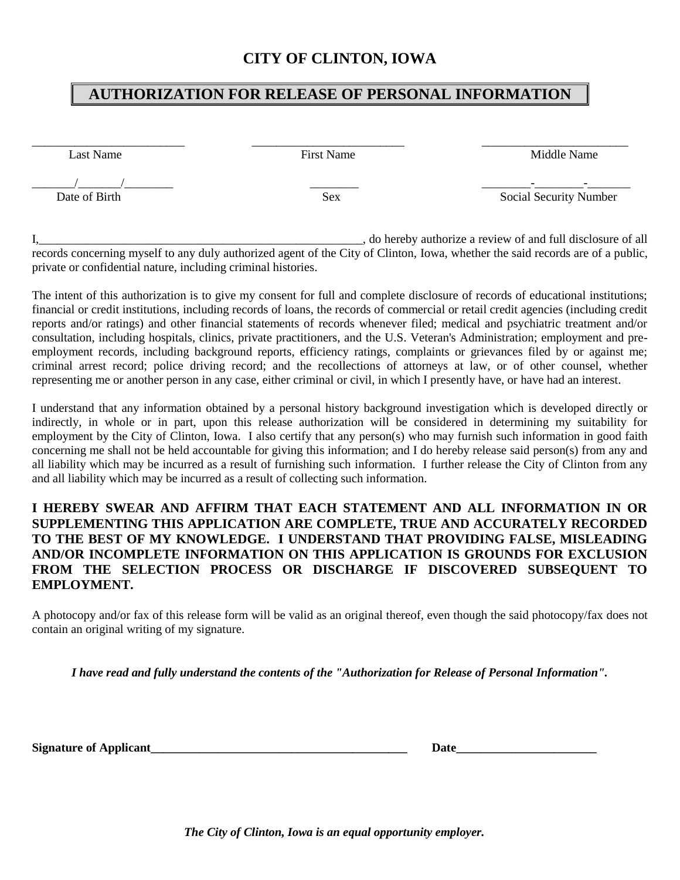### **CITY OF CLINTON, IOWA**

## **AUTHORIZATION FOR RELEASE OF PERSONAL INFORMATION**

\_\_\_\_\_\_\_\_\_\_\_\_\_\_\_\_\_\_\_\_\_\_\_\_\_ \_\_\_\_\_\_\_\_\_\_\_\_\_\_\_\_\_\_\_\_\_\_\_\_\_ \_\_\_\_\_\_\_\_\_\_\_\_\_\_\_\_\_\_\_\_\_\_\_\_

Last Name Middle Name First Name Middle Name

 $\frac{1}{\text{Date of Birth}}$ 

Sex Social Security Number

I, 1. 2012 1. 2013 1. 2014 1. 2015 1. 2016 1. 2016 1. 2016 1. 2016 1. 2016 1. 2016 1. 2016 1. 2016 1. 2016 1. 2016 1. 2016 1. 2016 1. 2016 1. 2016 1. 2016 1. 2016 1. 2016 1. 2016 1. 2016 1. 2016 1. 2016 1. 2016 1. 2016 1. records concerning myself to any duly authorized agent of the City of Clinton, Iowa, whether the said records are of a public, private or confidential nature, including criminal histories.

The intent of this authorization is to give my consent for full and complete disclosure of records of educational institutions; financial or credit institutions, including records of loans, the records of commercial or retail credit agencies (including credit reports and/or ratings) and other financial statements of records whenever filed; medical and psychiatric treatment and/or consultation, including hospitals, clinics, private practitioners, and the U.S. Veteran's Administration; employment and preemployment records, including background reports, efficiency ratings, complaints or grievances filed by or against me; criminal arrest record; police driving record; and the recollections of attorneys at law, or of other counsel, whether representing me or another person in any case, either criminal or civil, in which I presently have, or have had an interest.

I understand that any information obtained by a personal history background investigation which is developed directly or indirectly, in whole or in part, upon this release authorization will be considered in determining my suitability for employment by the City of Clinton, Iowa. I also certify that any person(s) who may furnish such information in good faith concerning me shall not be held accountable for giving this information; and I do hereby release said person(s) from any and all liability which may be incurred as a result of furnishing such information. I further release the City of Clinton from any and all liability which may be incurred as a result of collecting such information.

#### **I HEREBY SWEAR AND AFFIRM THAT EACH STATEMENT AND ALL INFORMATION IN OR SUPPLEMENTING THIS APPLICATION ARE COMPLETE, TRUE AND ACCURATELY RECORDED TO THE BEST OF MY KNOWLEDGE. I UNDERSTAND THAT PROVIDING FALSE, MISLEADING AND/OR INCOMPLETE INFORMATION ON THIS APPLICATION IS GROUNDS FOR EXCLUSION FROM THE SELECTION PROCESS OR DISCHARGE IF DISCOVERED SUBSEQUENT TO EMPLOYMENT.**

A photocopy and/or fax of this release form will be valid as an original thereof, even though the said photocopy/fax does not contain an original writing of my signature.

*I have read and fully understand the contents of the "Authorization for Release of Personal Information".*

Signature of Applicant

*The City of Clinton, Iowa is an equal opportunity employer.*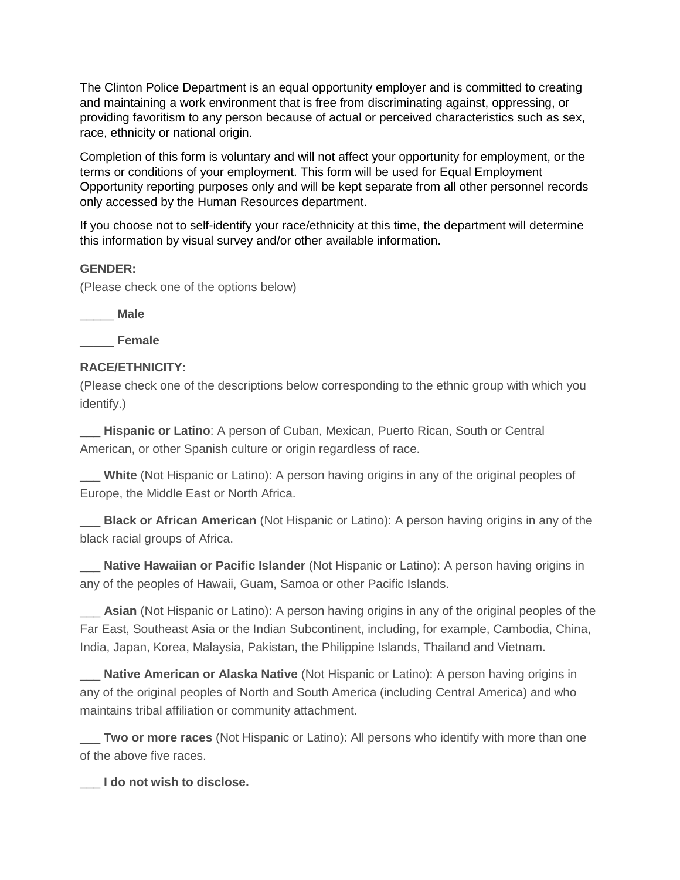The Clinton Police Department is an equal opportunity employer and is committed to creating and maintaining a work environment that is free from discriminating against, oppressing, or providing favoritism to any person because of actual or perceived characteristics such as sex, race, ethnicity or national origin.

Completion of this form is voluntary and will not affect your opportunity for employment, or the terms or conditions of your employment. This form will be used for Equal Employment Opportunity reporting purposes only and will be kept separate from all other personnel records only accessed by the Human Resources department.

If you choose not to self-identify your race/ethnicity at this time, the department will determine this information by visual survey and/or other available information.

#### **GENDER:**

(Please check one of the options below)

\_\_\_\_\_ **Male**

\_\_\_\_\_ **Female**

#### **RACE/ETHNICITY:**

(Please check one of the descriptions below corresponding to the ethnic group with which you identify.)

\_\_\_ **Hispanic or Latino**: A person of Cuban, Mexican, Puerto Rican, South or Central American, or other Spanish culture or origin regardless of race.

\_\_\_ **White** (Not Hispanic or Latino): A person having origins in any of the original peoples of Europe, the Middle East or North Africa.

**Black or African American** (Not Hispanic or Latino): A person having origins in any of the black racial groups of Africa.

**Native Hawaiian or Pacific Islander** (Not Hispanic or Latino): A person having origins in any of the peoples of Hawaii, Guam, Samoa or other Pacific Islands.

\_\_\_ **Asian** (Not Hispanic or Latino): A person having origins in any of the original peoples of the Far East, Southeast Asia or the Indian Subcontinent, including, for example, Cambodia, China, India, Japan, Korea, Malaysia, Pakistan, the Philippine Islands, Thailand and Vietnam.

\_\_\_ **Native American or Alaska Native** (Not Hispanic or Latino): A person having origins in any of the original peoples of North and South America (including Central America) and who maintains tribal affiliation or community attachment.

\_\_\_ **Two or more races** (Not Hispanic or Latino): All persons who identify with more than one of the above five races.

\_\_\_ **I do not wish to disclose.**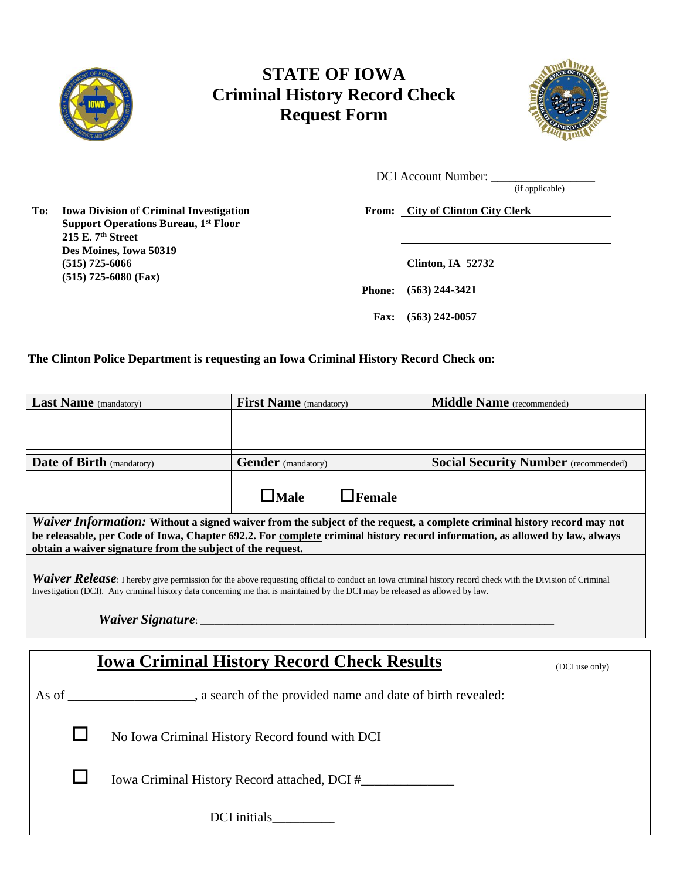

## **STATE OF IOWA Criminal History Record Check Request Form**



 $\overline{\phantom{0}}$ 

DCI Account Number:

(if applicable)

**Support Operations Bureau, 1st Floor 215 E. 7th Street Des Moines, Iowa 50319 (515) 725-6066 Clinton, IA 52732 (515) 725-6080 (Fax)**

**To: Iowa Division of Criminal Investigation From: City of Clinton City Clerk**

**Phone: (563) 244-3421**

**Fax: (563) 242-0057**

**The Clinton Police Department is requesting an Iowa Criminal History Record Check on:**

| <b>Last Name</b> (mandatory)                                                                                                                                                                                                                                                               | <b>First Name</b> (mandatory) |               | Middle Name (recommended) |                                             |
|--------------------------------------------------------------------------------------------------------------------------------------------------------------------------------------------------------------------------------------------------------------------------------------------|-------------------------------|---------------|---------------------------|---------------------------------------------|
|                                                                                                                                                                                                                                                                                            |                               |               |                           |                                             |
|                                                                                                                                                                                                                                                                                            |                               |               |                           |                                             |
| <b>Date of Birth (mandatory)</b>                                                                                                                                                                                                                                                           | <b>Gender</b> (mandatory)     |               |                           | <b>Social Security Number</b> (recommended) |
|                                                                                                                                                                                                                                                                                            | $\Box$ Male                   | $\Box$ Female |                           |                                             |
| Waiver Information: Without a signed waiver from the subject of the request, a complete criminal history record may not<br>be releasable, per Code of Iowa, Chapter 692.2. For complete criminal history record information, as allowed by law, always                                     |                               |               |                           |                                             |
| obtain a waiver signature from the subject of the request.                                                                                                                                                                                                                                 |                               |               |                           |                                             |
| Waiver Release: I hereby give permission for the above requesting official to conduct an Iowa criminal history record check with the Division of Criminal<br>Investigation (DCI). Any criminal history data concerning me that is maintained by the DCI may be released as allowed by law. |                               |               |                           |                                             |
| <b>Iowa Criminal History Record Check Results</b>                                                                                                                                                                                                                                          |                               |               |                           | (DCI use only)                              |
| As of _____________________, a search of the provided name and date of birth revealed:                                                                                                                                                                                                     |                               |               |                           |                                             |
| No Iowa Criminal History Record found with DCI                                                                                                                                                                                                                                             |                               |               |                           |                                             |
|                                                                                                                                                                                                                                                                                            |                               |               |                           |                                             |
|                                                                                                                                                                                                                                                                                            |                               |               |                           |                                             |

DCI initials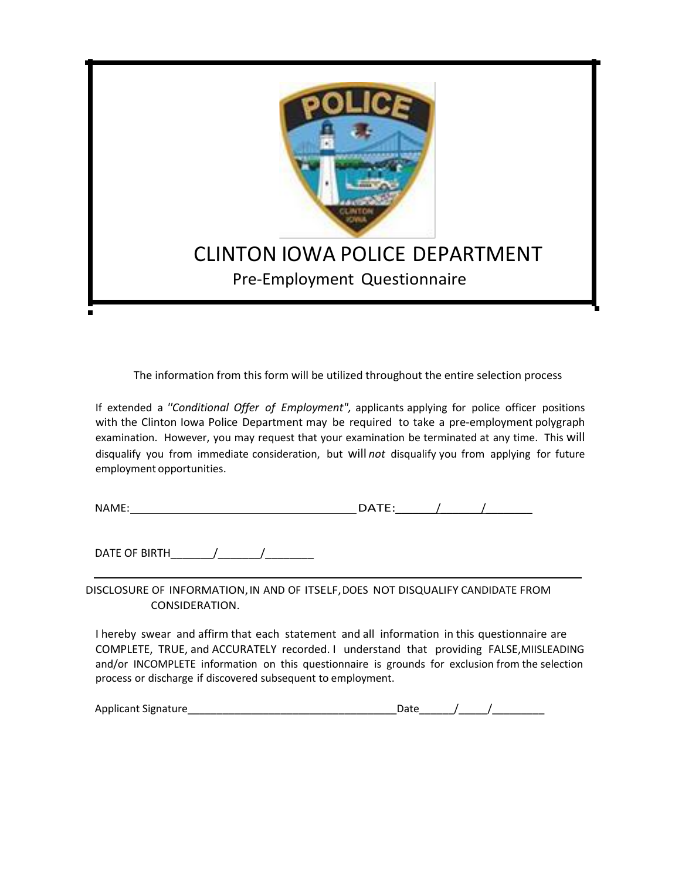

The information from this form will be utilized throughout the entire selection process

If extended a *''Conditional Offer of Employment",* applicants applying for police officer positions with the Clinton Iowa Police Department may be required to take a pre-employment polygraph examination. However, you may request that your examination be terminated at any time. This will disqualify you from immediate consideration, but will *not* disqualify you from applying for future employment opportunities.

| <b>NA</b><br>w | _ _ _ _ _ _ |  |
|----------------|-------------|--|
|                |             |  |

DATE OF BIRTH  $\frac{1}{2}$  /

DISCLOSURE OF INFORMATION,IN AND OF ITSELF,DOES NOT DISQUALIFY CANDIDATE FROM CONSIDERATION.

I hereby swear and affirm that each statement and all information in this questionnaire are COMPLETE, TRUE, and ACCURATELY recorded. I understand that providing FALSE,MIISLEADING and/or INCOMPLETE information on this questionnaire is grounds for exclusion from the selection process or discharge if discovered subsequent to employment.

| Applicant Signature |  |  |
|---------------------|--|--|
|                     |  |  |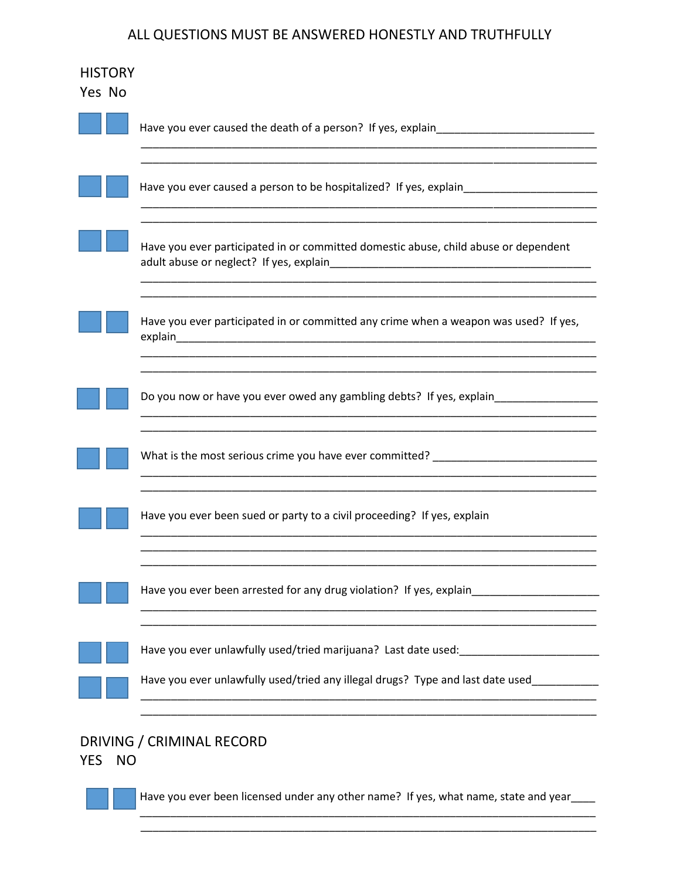### ALL QUESTIONS MUST BE ANSWERED HONESTLY AND TRUTHFULLY

| Yes No     | <b>HISTORY</b> |                                                                                          |
|------------|----------------|------------------------------------------------------------------------------------------|
|            |                | Have you ever caused the death of a person? If yes, explain_____________________         |
|            |                |                                                                                          |
|            |                | Have you ever participated in or committed domestic abuse, child abuse or dependent      |
|            |                | Have you ever participated in or committed any crime when a weapon was used? If yes,     |
|            |                | Do you now or have you ever owed any gambling debts? If yes, explain_____________        |
|            |                | What is the most serious crime you have ever committed? ________________________         |
|            |                | Have you ever been sued or party to a civil proceeding? If yes, explain                  |
|            |                | Have you ever been arrested for any drug violation? If yes, explain                      |
|            |                | Have you ever unlawfully used/tried marijuana? Last date used:                           |
|            |                | Have you ever unlawfully used/tried any illegal drugs? Type and last date used__________ |
| <b>YES</b> | <b>NO</b>      | DRIVING / CRIMINAL RECORD                                                                |

Have you ever been licensed under any other name? If yes, what name, state and year\_\_\_\_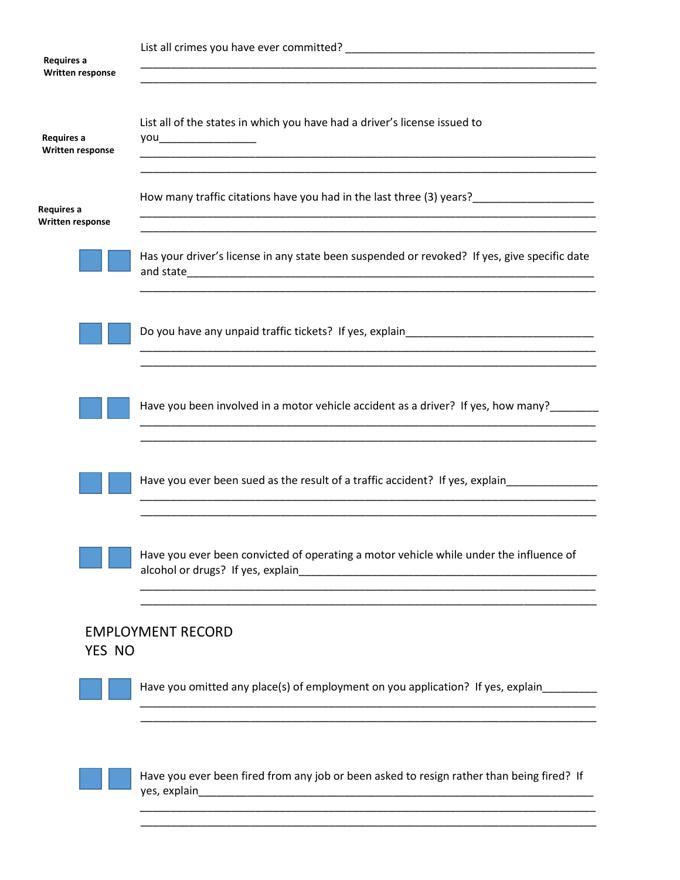| Requires a<br><b>Written response</b> |                                                                                                           |
|---------------------------------------|-----------------------------------------------------------------------------------------------------------|
| Requires a<br>Written response        | List all of the states in which you have had a driver's license issued to<br>you_______________________   |
| Requires a<br>Written response        | How many traffic citations have you had in the last three (3) years?____________________                  |
|                                       | Has your driver's license in any state been suspended or revoked? If yes, give specific date              |
|                                       | Do you have any unpaid traffic tickets? If yes, explain_________________________                          |
|                                       | Have you been involved in a motor vehicle accident as a driver? If yes, how many?                         |
|                                       | Have you ever been sued as the result of a traffic accident? If yes, explain                              |
|                                       | Have you ever been convicted of operating a motor vehicle while under the influence of                    |
| YES NO                                | <b>EMPLOYMENT RECORD</b>                                                                                  |
|                                       | Have you omitted any place(s) of employment on you application? If yes, explain________                   |
|                                       | Have you ever been fired from any job or been asked to resign rather than being fired? If<br>yes, explain |